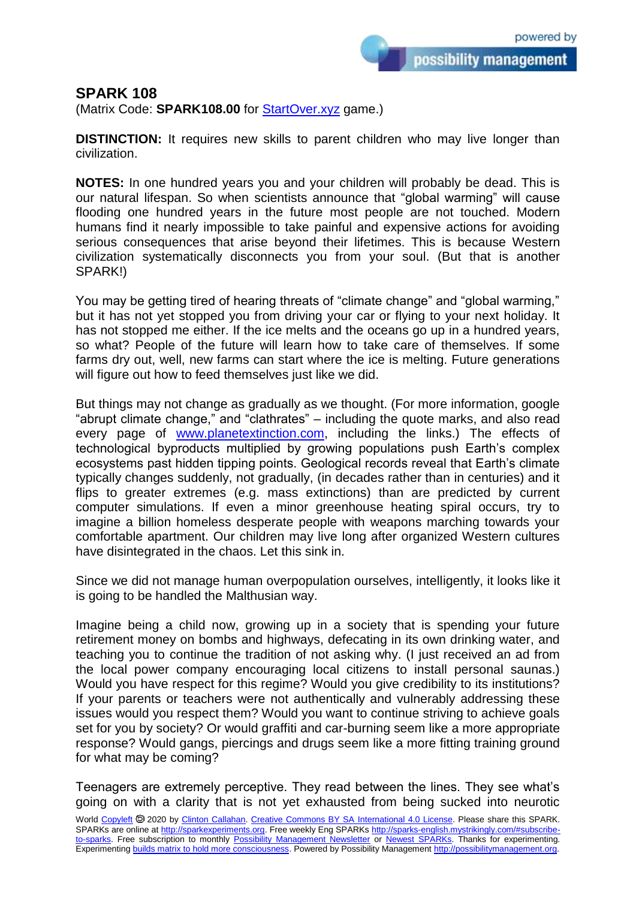possibility management

## **SPARK 108**

(Matrix Code: **SPARK108.00** for **StartOver.xyz** game.)

**DISTINCTION:** It requires new skills to parent children who may live longer than civilization.

**NOTES:** In one hundred years you and your children will probably be dead. This is our natural lifespan. So when scientists announce that "global warming" will cause flooding one hundred years in the future most people are not touched. Modern humans find it nearly impossible to take painful and expensive actions for avoiding serious consequences that arise beyond their lifetimes. This is because Western civilization systematically disconnects you from your soul. (But that is another SPARK!)

You may be getting tired of hearing threats of "climate change" and "global warming." but it has not yet stopped you from driving your car or flying to your next holiday. It has not stopped me either. If the ice melts and the oceans go up in a hundred years, so what? People of the future will learn how to take care of themselves. If some farms dry out, well, new farms can start where the ice is melting. Future generations will figure out how to feed themselves just like we did.

But things may not change as gradually as we thought. (For more information, google "abrupt climate change," and "clathrates" – including the quote marks, and also read every page of [www.planetextinction.com,](http://www.planetextinction.com/) including the links.) The effects of technological byproducts multiplied by growing populations push Earth's complex ecosystems past hidden tipping points. Geological records reveal that Earth's climate typically changes suddenly, not gradually, (in decades rather than in centuries) and it flips to greater extremes (e.g. mass extinctions) than are predicted by current computer simulations. If even a minor greenhouse heating spiral occurs, try to imagine a billion homeless desperate people with weapons marching towards your comfortable apartment. Our children may live long after organized Western cultures have disintegrated in the chaos. Let this sink in.

Since we did not manage human overpopulation ourselves, intelligently, it looks like it is going to be handled the Malthusian way.

Imagine being a child now, growing up in a society that is spending your future retirement money on bombs and highways, defecating in its own drinking water, and teaching you to continue the tradition of not asking why. (I just received an ad from the local power company encouraging local citizens to install personal saunas.) Would you have respect for this regime? Would you give credibility to its institutions? If your parents or teachers were not authentically and vulnerably addressing these issues would you respect them? Would you want to continue striving to achieve goals set for you by society? Or would graffiti and car-burning seem like a more appropriate response? Would gangs, piercings and drugs seem like a more fitting training ground for what may be coming?

Teenagers are extremely perceptive. They read between the lines. They see what's going on with a clarity that is not yet exhausted from being sucked into neurotic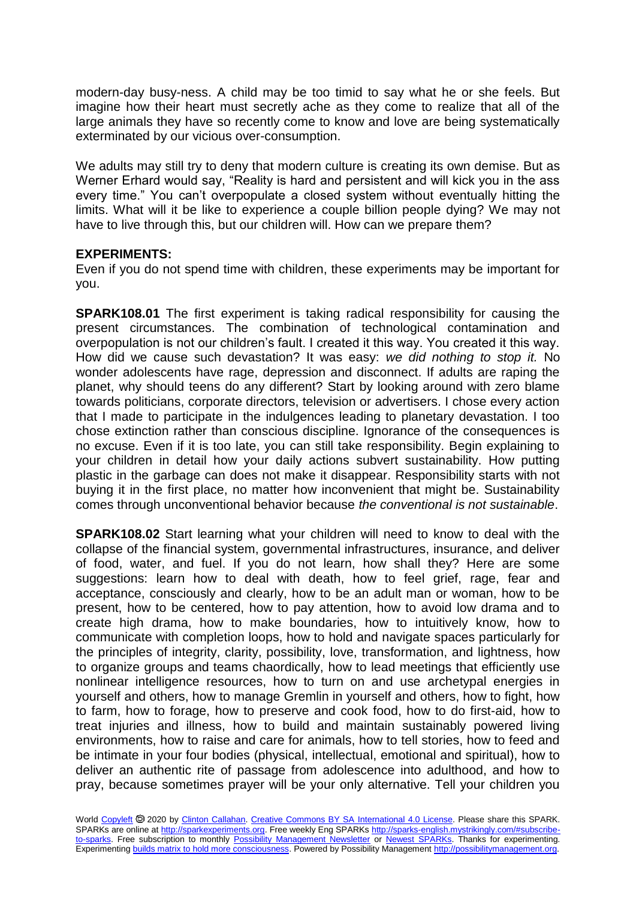modern-day busy-ness. A child may be too timid to say what he or she feels. But imagine how their heart must secretly ache as they come to realize that all of the large animals they have so recently come to know and love are being systematically exterminated by our vicious over-consumption.

We adults may still try to deny that modern culture is creating its own demise. But as Werner Erhard would say, "Reality is hard and persistent and will kick you in the ass every time." You can't overpopulate a closed system without eventually hitting the limits. What will it be like to experience a couple billion people dying? We may not have to live through this, but our children will. How can we prepare them?

## **EXPERIMENTS:**

Even if you do not spend time with children, these experiments may be important for you.

**SPARK108.01** The first experiment is taking radical responsibility for causing the present circumstances. The combination of technological contamination and overpopulation is not our children's fault. I created it this way. You created it this way. How did we cause such devastation? It was easy: *we did nothing to stop it.* No wonder adolescents have rage, depression and disconnect. If adults are raping the planet, why should teens do any different? Start by looking around with zero blame towards politicians, corporate directors, television or advertisers. I chose every action that I made to participate in the indulgences leading to planetary devastation. I too chose extinction rather than conscious discipline. Ignorance of the consequences is no excuse. Even if it is too late, you can still take responsibility. Begin explaining to your children in detail how your daily actions subvert sustainability. How putting plastic in the garbage can does not make it disappear. Responsibility starts with not buying it in the first place, no matter how inconvenient that might be. Sustainability comes through unconventional behavior because *the conventional is not sustainable*.

**SPARK108.02** Start learning what your children will need to know to deal with the collapse of the financial system, governmental infrastructures, insurance, and deliver of food, water, and fuel. If you do not learn, how shall they? Here are some suggestions: learn how to deal with death, how to feel grief, rage, fear and acceptance, consciously and clearly, how to be an adult man or woman, how to be present, how to be centered, how to pay attention, how to avoid low drama and to create high drama, how to make boundaries, how to intuitively know, how to communicate with completion loops, how to hold and navigate spaces particularly for the principles of integrity, clarity, possibility, love, transformation, and lightness, how to organize groups and teams chaordically, how to lead meetings that efficiently use nonlinear intelligence resources, how to turn on and use archetypal energies in yourself and others, how to manage Gremlin in yourself and others, how to fight, how to farm, how to forage, how to preserve and cook food, how to do first-aid, how to treat injuries and illness, how to build and maintain sustainably powered living environments, how to raise and care for animals, how to tell stories, how to feed and be intimate in your four bodies (physical, intellectual, emotional and spiritual), how to deliver an authentic rite of passage from adolescence into adulthood, and how to pray, because sometimes prayer will be your only alternative. Tell your children you